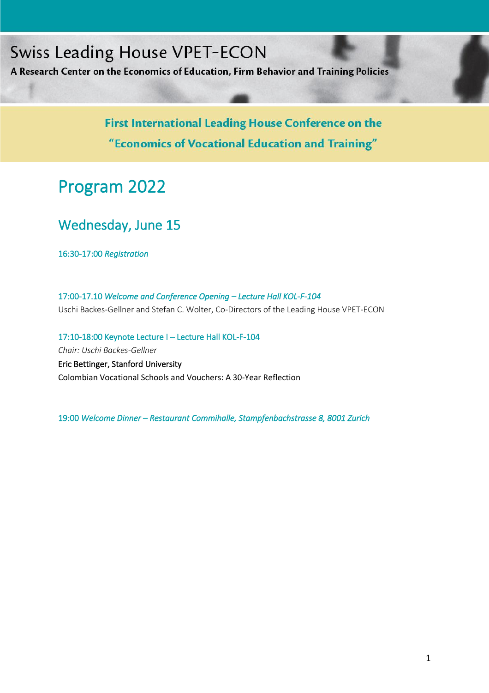# **Swiss Leading House VPET-ECON**

Program for Leading House Conference 2022

A Research Center on the Economics of Education, Firm Behavior and Training Policies

First International Leading House Conference on the "Economics of Vocational Education and Training"

# Program 2022

## Wednesday, June 15

16:30-17:00 *Registration* 

17:00-17.10 *Welcome and Conference Opening – Lecture Hall KOL-F-104*  Uschi Backes-Gellner and Stefan C. Wolter, Co-Directors of the Leading House VPET-ECON

17:10-18:00 Keynote Lecture I – Lecture Hall KOL-F-104 *Chair: Uschi Backes-Gellner* Eric Bettinger, Stanford University Colombian Vocational Schools and Vouchers: A 30-Year Reflection

19:00 *Welcome Dinner – Restaurant Commihalle, Stampfenbachstrasse 8, 8001 Zurich*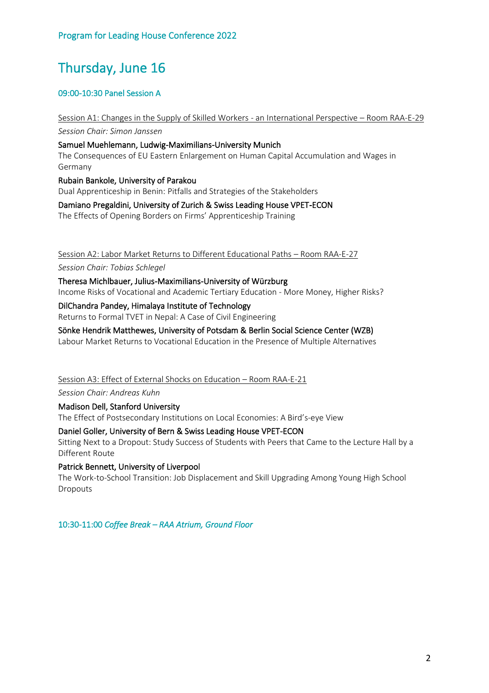## Thursday, June 16

## 09:00-10:30 Panel Session A

Session A1: Changes in the Supply of Skilled Workers - an International Perspective – Room RAA-E-29 *Session Chair: Simon Janssen* Samuel Muehlemann, Ludwig-Maximilians-University Munich The Consequences of EU Eastern Enlargement on Human Capital Accumulation and Wages in Germany Rubain Bankole, University of Parakou Dual Apprenticeship in Benin: Pitfalls and Strategies of the Stakeholders

Damiano Pregaldini, University of Zurich & Swiss Leading House VPET-ECON The Effects of Opening Borders on Firms' Apprenticeship Training

Session A2: Labor Market Returns to Different Educational Paths – Room RAA-E-27

*Session Chair: Tobias Schlegel*

Theresa Michlbauer, Julius-Maximilians-University of Würzburg Income Risks of Vocational and Academic Tertiary Education - More Money, Higher Risks?

DilChandra Pandey, Himalaya Institute of Technology

Returns to Formal TVET in Nepal: A Case of Civil Engineering

Sönke Hendrik Matthewes, University of Potsdam & Berlin Social Science Center (WZB)

Labour Market Returns to Vocational Education in the Presence of Multiple Alternatives

Session A3: Effect of External Shocks on Education – Room RAA-E-21

*Session Chair: Andreas Kuhn*

Madison Dell, Stanford University

The Effect of Postsecondary Institutions on Local Economies: A Bird's-eye View

#### Daniel Goller, University of Bern & Swiss Leading House VPET-ECON

Sitting Next to a Dropout: Study Success of Students with Peers that Came to the Lecture Hall by a Different Route

## Patrick Bennett, University of Liverpool

The Work-to-School Transition: Job Displacement and Skill Upgrading Among Young High School Dropouts

10:30-11:00 *Coffee Break – RAA Atrium, Ground Floor*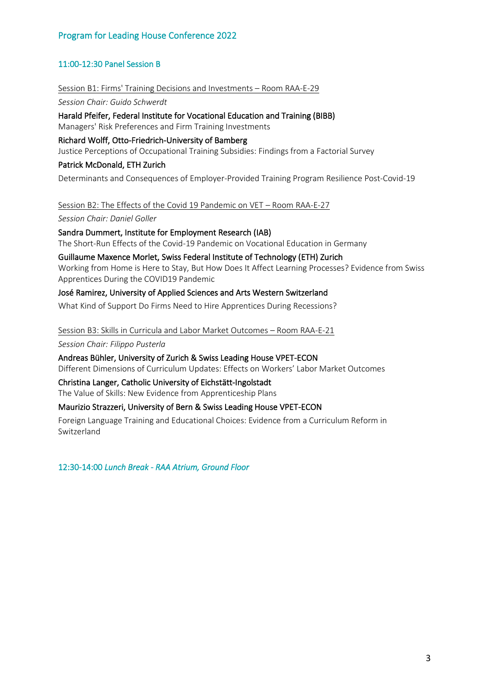## Program for Leading House Conference 2022

## 11:00-12:30 Panel Session B

#### Session B1: Firms' Training Decisions and Investments – Room RAA-E-29

*Session Chair: Guido Schwerdt*

## Harald Pfeifer, Federal Institute for Vocational Education and Training (BIBB)

Managers' Risk Preferences and Firm Training Investments

#### Richard Wolff, Otto-Friedrich-University of Bamberg

Justice Perceptions of Occupational Training Subsidies: Findings from a Factorial Survey

## Patrick McDonald, ETH Zurich

Determinants and Consequences of Employer-Provided Training Program Resilience Post-Covid-19

Session B2: The Effects of the Covid 19 Pandemic on VET – Room RAA-E-27

*Session Chair: Daniel Goller*

#### Sandra Dummert, Institute for Employment Research (IAB)

The Short-Run Effects of the Covid-19 Pandemic on Vocational Education in Germany

## Guillaume Maxence Morlet, Swiss Federal Institute of Technology (ETH) Zurich

Working from Home is Here to Stay, But How Does It Affect Learning Processes? Evidence from Swiss Apprentices During the COVID19 Pandemic

## José Ramirez, University of Applied Sciences and Arts Western Switzerland

What Kind of Support Do Firms Need to Hire Apprentices During Recessions?

## Session B3: Skills in Curricula and Labor Market Outcomes – Room RAA-E-21 *Session Chair: Filippo Pusterla*

Andreas Bühler, University of Zurich & Swiss Leading House VPET-ECON Different Dimensions of Curriculum Updates: Effects on Workers' Labor Market Outcomes

## Christina Langer, Catholic University of Eichstätt-Ingolstadt

The Value of Skills: New Evidence from Apprenticeship Plans

## Maurizio Strazzeri, University of Bern & Swiss Leading House VPET-ECON

Foreign Language Training and Educational Choices: Evidence from a Curriculum Reform in Switzerland

12:30-14:00 *Lunch Break - RAA Atrium, Ground Floor*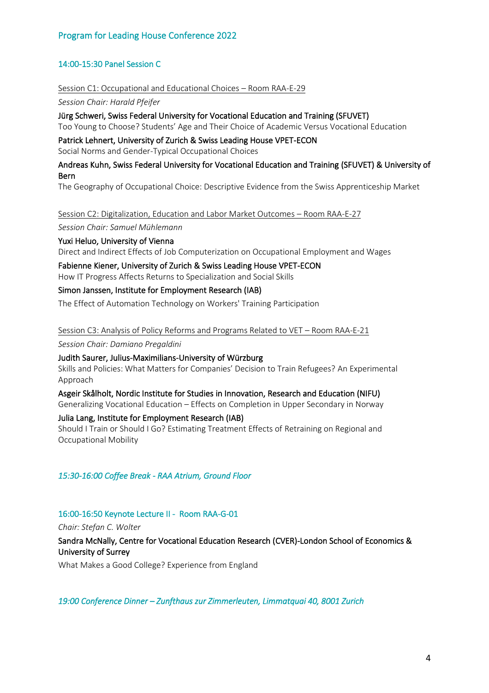## Program for Leading House Conference 2022

## 14:00-15:30 Panel Session C

Session C1: Occupational and Educational Choices – Room RAA-E-29

*Session Chair: Harald Pfeifer*

Jürg Schweri, Swiss Federal University for Vocational Education and Training (SFUVET) Too Young to Choose? Students' Age and Their Choice of Academic Versus Vocational Education

Patrick Lehnert, University of Zurich & Swiss Leading House VPET-ECON

Social Norms and Gender-Typical Occupational Choices

#### Andreas Kuhn, Swiss Federal University for Vocational Education and Training (SFUVET) & University of Bern

The Geography of Occupational Choice: Descriptive Evidence from the Swiss Apprenticeship Market

Session C2: Digitalization, Education and Labor Market Outcomes – Room RAA-E-27

*Session Chair: Samuel Mühlemann*

Yuxi Heluo, University of Vienna

Direct and Indirect Effects of Job Computerization on Occupational Employment and Wages

Fabienne Kiener, University of Zurich & Swiss Leading House VPET-ECON How IT Progress Affects Returns to Specialization and Social Skills

Simon Janssen, Institute for Employment Research (IAB)

The Effect of Automation Technology on Workers' Training Participation

Session C3: Analysis of Policy Reforms and Programs Related to VET – Room RAA-E-21 *Session Chair: Damiano Pregaldini*

Judith Saurer, Julius-Maximilians-University of Würzburg

Skills and Policies: What Matters for Companies' Decision to Train Refugees? An Experimental Approach

Asgeir Skålholt, Nordic Institute for Studies in Innovation, Research and Education (NIFU) Generalizing Vocational Education – Effects on Completion in Upper Secondary in Norway

Julia Lang, Institute for Employment Research (IAB)

Should I Train or Should I Go? Estimating Treatment Effects of Retraining on Regional and Occupational Mobility

## *15:30-16:00 Coffee Break - RAA Atrium, Ground Floor*

#### 16:00-16:50 Keynote Lecture II - Room RAA-G-01

*Chair: Stefan C. Wolter*

Sandra McNally, Centre for Vocational Education Research (CVER)-London School of Economics & University of Surrey

What Makes a Good College? Experience from England

*19:00 Conference Dinner – Zunfthaus zur Zimmerleuten, Limmatquai 40, 8001 Zurich*